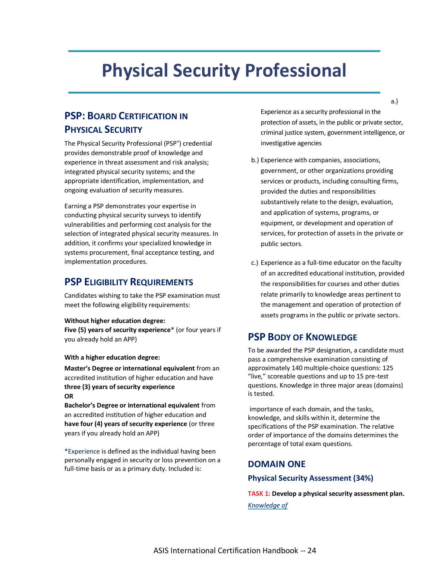# **Physical Security Professional**

## **PSP: BOARD CERTIFICATION IN PHYSICAL SECURITY**

The Physical Security Professional (PSP® ) credential provides demonstrable proof of knowledge and experience in threat assessment and risk analysis; integrated physical security systems; and the appropriate identification, implementation, and ongoing evaluation of security measures.

Earning a PSP demonstrates your expertise in conducting physical security surveys to identify vulnerabilities and performing cost analysis for the selection of integrated physical security measures. In addition, it confirms your specialized knowledge in systems procurement, final acceptance testing, and implementation procedures.

## **PSP ELIGIBILITY REQUIREMENTS**

Candidates wishing to take the PSP examination must meet the following eligibility requirements:

#### **Without higher education degree:**

**Five (5) years of security experience**\* (or four years if you already hold an APP)

#### **With a higher education degree:**

**Master's Degree or international equivalent** from an accredited institution of higher education and have **three (3) years of security experience OR**

**Bachelor's Degree or international equivalent** from an accredited institution of higher education and **have four (4) years of security experience** (or three years if you already hold an APP)

\*Experience is defined as the individual having been personally engaged in security or loss prevention on a full-time basis or as a primary duty. Included is:

Experience as a security professional in the protection of assets, in the public or private sector, criminal justice system, government intelligence, or investigative agencies

- b.) Experience with companies, associations, government, or other organizations providing services or products, including consulting firms, provided the duties and responsibilities substantively relate to the design, evaluation, and application of systems, programs, or equipment, or development and operation of services, for protection of assets in the private or public sectors.
- c.) Experience as a full-time educator on the faculty of an accredited educational institution, provided the responsibilities for courses and other duties relate primarily to knowledge areas pertinent to the management and operation of protection of assets programs in the public or private sectors.

## **PSP BODY OF KNOWLEDGE**

To be awarded the PSP designation, a candidate must pass a comprehensive examination consisting of approximately 140 multiple-choice questions: 125 "live," scoreable questions and up to 15 pre-test questions. Knowledge in three major areas (domains) is tested.

importance of each domain, and the tasks, knowledge, and skills within it, determine the specifications of the PSP examination. The relative order of importance of the domains determines the percentage of total exam questions.

## **DOMAIN ONE**

## **Physical Security Assessment (34%)**

**TASK 1: Develop a physical security assessment plan.** *Knowledge of*

a.)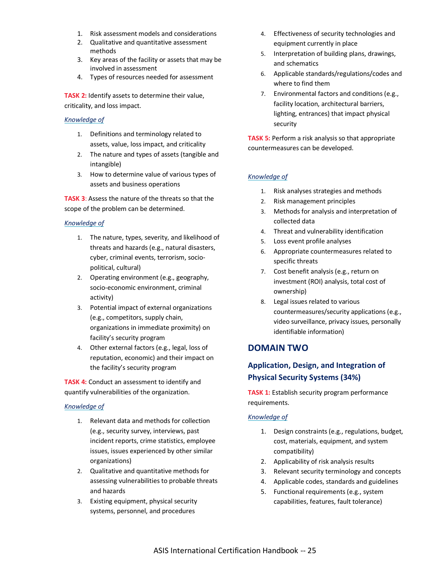- 1. Risk assessment models and considerations
- 2. Qualitative and quantitative assessment methods
- 3. Key areas of the facility or assets that may be involved in assessment
- 4. Types of resources needed for assessment

**TASK 2:** Identify assets to determine their value, criticality, and loss impact.

#### *Knowledge of*

- 1. Definitions and terminology related to assets, value, loss impact, and criticality
- 2. The nature and types of assets (tangible and intangible)
- 3. How to determine value of various types of assets and business operations

**TASK 3**: Assess the nature of the threats so that the scope of the problem can be determined.

#### *Knowledge of*

- 1. The nature, types, severity, and likelihood of threats and hazards (e.g., natural disasters, cyber, criminal events, terrorism, sociopolitical, cultural)
- 2. Operating environment (e.g., geography, socio-economic environment, criminal activity)
- 3. Potential impact of external organizations (e.g., competitors, supply chain, organizations in immediate proximity) on facility's security program
- 4. Other external factors (e.g., legal, loss of reputation, economic) and their impact on the facility's security program

**TASK 4:** Conduct an assessment to identify and quantify vulnerabilities of the organization.

## *Knowledge of*

- 1. Relevant data and methods for collection (e.g., security survey, interviews, past incident reports, crime statistics, employee issues, issues experienced by other similar organizations)
- 2. Qualitative and quantitative methods for assessing vulnerabilities to probable threats and hazards
- 3. Existing equipment, physical security systems, personnel, and procedures
- 4. Effectiveness of security technologies and equipment currently in place
- 5. Interpretation of building plans, drawings, and schematics
- 6. Applicable standards/regulations/codes and where to find them
- 7. Environmental factors and conditions (e.g., facility location, architectural barriers, lighting, entrances) that impact physical security

**TASK 5:** Perform a risk analysis so that appropriate countermeasures can be developed.

## *Knowledge of*

- 1. Risk analyses strategies and methods
- 2. Risk management principles
- 3. Methods for analysis and interpretation of collected data
- 4. Threat and vulnerability identification
- 5. Loss event profile analyses
- 6. Appropriate countermeasures related to specific threats
- 7. Cost benefit analysis (e.g., return on investment (ROI) analysis, total cost of ownership)
- 8. Legal issues related to various countermeasures/security applications (e.g., video surveillance, privacy issues, personally identifiable information)

## **DOMAIN TWO**

## **Application, Design, and Integration of Physical Security Systems (34%)**

**TASK 1:** Establish security program performance requirements.

## *Knowledge of*

- 1. Design constraints (e.g., regulations, budget, cost, materials, equipment, and system compatibility)
- 2. Applicability of risk analysis results
- 3. Relevant security terminology and concepts
- 4. Applicable codes, standards and guidelines
- 5. Functional requirements (e.g., system capabilities, features, fault tolerance)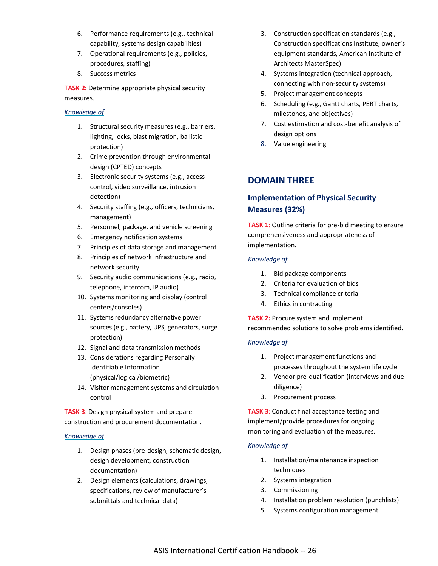- 6. Performance requirements (e.g., technical capability, systems design capabilities)
- 7. Operational requirements (e.g., policies, procedures, staffing)
- 8. Success metrics

**TASK 2:** Determine appropriate physical security measures.

#### *Knowledge of*

- 1. Structural security measures (e.g., barriers, lighting, locks, blast migration, ballistic protection)
- 2. Crime prevention through environmental design (CPTED) concepts
- 3. Electronic security systems (e.g., access control, video surveillance, intrusion detection)
- 4. Security staffing (e.g., officers, technicians, management)
- 5. Personnel, package, and vehicle screening
- 6. Emergency notification systems
- 7. Principles of data storage and management
- 8. Principles of network infrastructure and network security
- 9. Security audio communications (e.g., radio, telephone, intercom, IP audio)
- 10. Systems monitoring and display (control centers/consoles)
- 11. Systems redundancy alternative power sources (e.g., battery, UPS, generators, surge protection)
- 12. Signal and data transmission methods
- 13. Considerations regarding Personally Identifiable Information (physical/logical/biometric)
- 14. Visitor management systems and circulation control

**TASK 3**: Design physical system and prepare construction and procurement documentation.

## *Knowledge of*

- 1. Design phases (pre-design, schematic design, design development, construction documentation)
- 2. Design elements (calculations, drawings, specifications, review of manufacturer's submittals and technical data)
- 3. Construction specification standards (e.g., Construction specifications Institute, owner's equipment standards, American Institute of Architects MasterSpec)
- 4. Systems integration (technical approach, connecting with non-security systems)
- 5. Project management concepts
- 6. Scheduling (e.g., Gantt charts, PERT charts, milestones, and objectives)
- 7. Cost estimation and cost-benefit analysis of design options
- 8. Value engineering

## **DOMAIN THREE**

## **Implementation of Physical Security Measures (32%)**

**TASK 1:** Outline criteria for pre-bid meeting to ensure comprehensiveness and appropriateness of implementation.

#### *Knowledge of*

- 1. Bid package components
- 2. Criteria for evaluation of bids
- 3. Technical compliance criteria
- 4. Ethics in contracting

**TASK 2:** Procure system and implement recommended solutions to solve problems identified.

## *Knowledge of*

- 1. Project management functions and processes throughout the system life cycle
- 2. Vendor pre-qualification (interviews and due diligence)
- 3. Procurement process

**TASK 3**: Conduct final acceptance testing and implement/provide procedures for ongoing monitoring and evaluation of the measures.

## *Knowledge of*

- 1. Installation/maintenance inspection techniques
- 2. Systems integration
- 3. Commissioning
- 4. Installation problem resolution (punchlists)
- 5. Systems configuration management